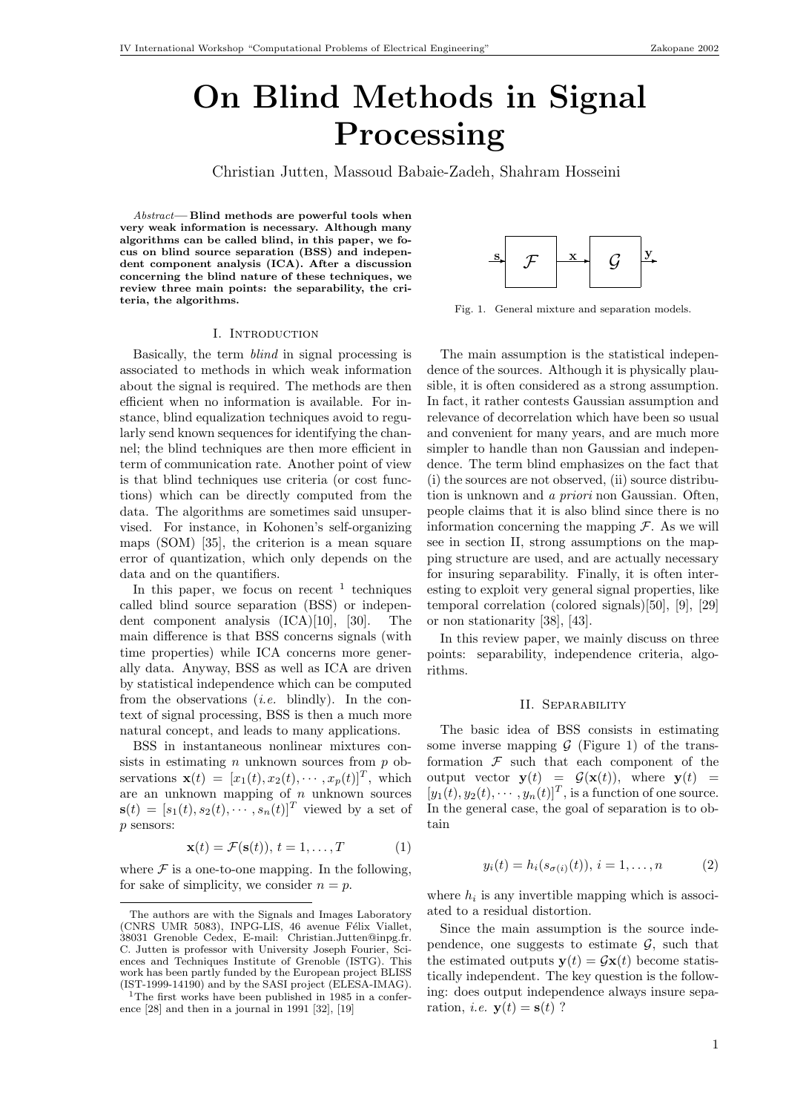# On Blind Methods in Signal Processing

Christian Jutten, Massoud Babaie-Zadeh, Shahram Hosseini

Abstract— Blind methods are powerful tools when very weak information is necessary. Although many algorithms can be called blind, in this paper, we focus on blind source separation (BSS) and independent component analysis (ICA). After a discussion concerning the blind nature of these techniques, we review three main points: the separability, the criteria, the algorithms.

#### I. Introduction

Basically, the term blind in signal processing is associated to methods in which weak information about the signal is required. The methods are then efficient when no information is available. For instance, blind equalization techniques avoid to regularly send known sequences for identifying the channel; the blind techniques are then more efficient in term of communication rate. Another point of view is that blind techniques use criteria (or cost functions) which can be directly computed from the data. The algorithms are sometimes said unsupervised. For instance, in Kohonen's self-organizing maps (SOM) [35], the criterion is a mean square error of quantization, which only depends on the data and on the quantifiers.

In this paper, we focus on recent  $\frac{1}{1}$  techniques called blind source separation (BSS) or independent component analysis (ICA)[10], [30]. The main difference is that BSS concerns signals (with time properties) while ICA concerns more generally data. Anyway, BSS as well as ICA are driven by statistical independence which can be computed from the observations *(i.e.* blindly). In the context of signal processing, BSS is then a much more natural concept, and leads to many applications.

BSS in instantaneous nonlinear mixtures consists in estimating  $n$  unknown sources from  $p$  observations  $\mathbf{x}(t) = [x_1(t), x_2(t), \cdots, x_p(t)]^T$ , which are an unknown mapping of  $n$  unknown sources  $\mathbf{s}(t) = [s_1(t), s_2(t), \cdots, s_n(t)]^T$  viewed by a set of p sensors:

$$
\mathbf{x}(t) = \mathcal{F}(\mathbf{s}(t)), \, t = 1, \dots, T \tag{1}
$$

where  $\mathcal F$  is a one-to-one mapping. In the following, for sake of simplicity, we consider  $n = p$ .



Fig. 1. General mixture and separation models.

The main assumption is the statistical independence of the sources. Although it is physically plausible, it is often considered as a strong assumption. In fact, it rather contests Gaussian assumption and relevance of decorrelation which have been so usual and convenient for many years, and are much more simpler to handle than non Gaussian and independence. The term blind emphasizes on the fact that (i) the sources are not observed, (ii) source distribution is unknown and a priori non Gaussian. Often, people claims that it is also blind since there is no information concerning the mapping  $\mathcal F$ . As we will see in section II, strong assumptions on the mapping structure are used, and are actually necessary for insuring separability. Finally, it is often interesting to exploit very general signal properties, like temporal correlation (colored signals)[50], [9], [29] or non stationarity [38], [43].

In this review paper, we mainly discuss on three points: separability, independence criteria, algorithms.

## II. Separability

The basic idea of BSS consists in estimating some inverse mapping  $G$  (Figure 1) of the transformation  $\mathcal F$  such that each component of the output vector  $\mathbf{y}(t) = \mathcal{G}(\mathbf{x}(t))$ , where  $\mathbf{y}(t) =$  $[y_1(t), y_2(t), \cdots, y_n(t)]^T$ , is a function of one source. In the general case, the goal of separation is to obtain

$$
y_i(t) = h_i(s_{\sigma(i)}(t)), i = 1,...,n
$$
 (2)

where  $h_i$  is any invertible mapping which is associated to a residual distortion.

Since the main assumption is the source independence, one suggests to estimate  $\mathcal{G}$ , such that the estimated outputs  $y(t) = Gx(t)$  become statistically independent. The key question is the following: does output independence always insure separation, *i.e.*  $\mathbf{y}(t) = \mathbf{s}(t)$  ?

The authors are with the Signals and Images Laboratory (CNRS UMR 5083), INPG-LIS, 46 avenue Félix Viallet, 38031 Grenoble Cedex, E-mail: Christian.Jutten@inpg.fr. C. Jutten is professor with University Joseph Fourier, Sciences and Techniques Institute of Grenoble (ISTG). This work has been partly funded by the European project BLISS (IST-1999-14190) and by the SASI project (ELESA-IMAG).

<sup>&</sup>lt;sup>1</sup>The first works have been published in 1985 in a conference [28] and then in a journal in 1991 [32], [19]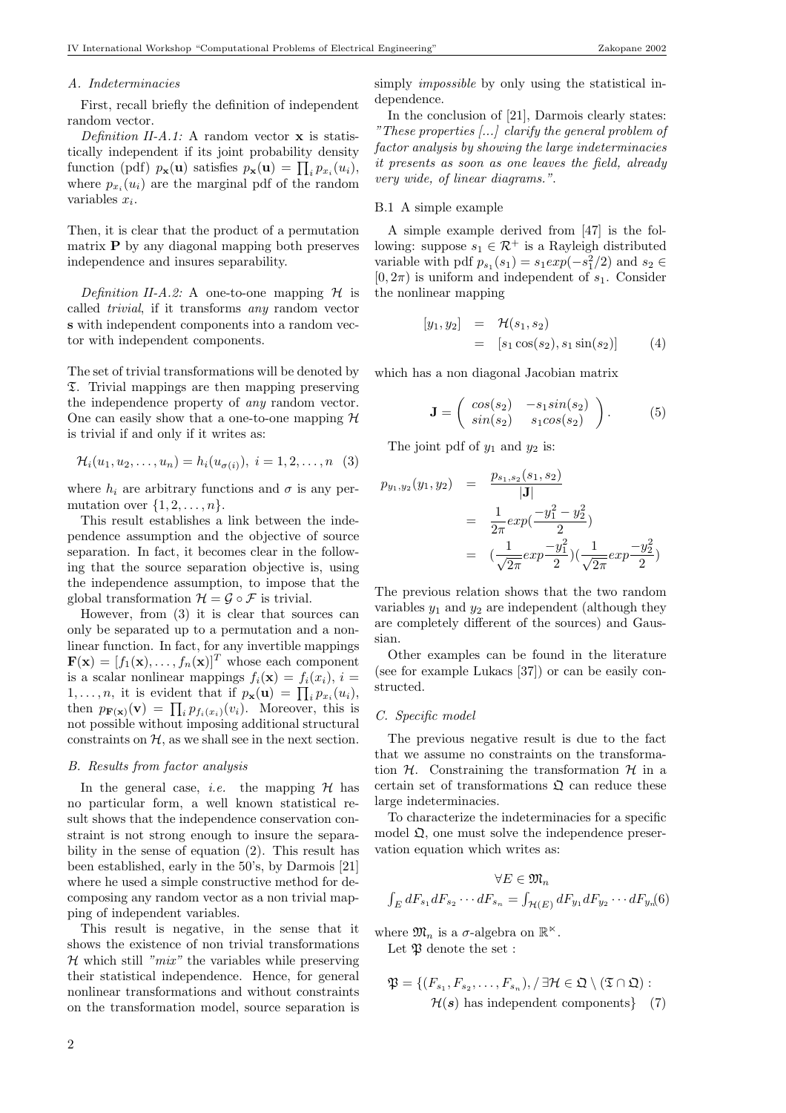#### A. Indeterminacies

First, recall briefly the definition of independent random vector.

Definition II-A.1: A random vector  $x$  is statistically independent if its joint probability density tically independent if its joint probability density<br>function (pdf)  $p_{\mathbf{x}}(\mathbf{u})$  satisfies  $p_{\mathbf{x}}(\mathbf{u}) = \prod_i p_{x_i}(u_i)$ , where  $p_{x_i}(u_i)$  are the marginal pdf of the random variables  $x_i$ .

Then, it is clear that the product of a permutation matrix  $P$  by any diagonal mapping both preserves independence and insures separability.

Definition II-A.2: A one-to-one mapping  $\mathcal H$  is called trivial, if it transforms any random vector s with independent components into a random vector with independent components.

The set of trivial transformations will be denoted by T. Trivial mappings are then mapping preserving the independence property of any random vector. One can easily show that a one-to-one mapping  $H$ is trivial if and only if it writes as:

$$
\mathcal{H}_i(u_1, u_2, \dots, u_n) = h_i(u_{\sigma(i)}), \ i = 1, 2, \dots, n \ (3)
$$

where  $h_i$  are arbitrary functions and  $\sigma$  is any permutation over  $\{1, 2, \ldots, n\}.$ 

This result establishes a link between the independence assumption and the objective of source separation. In fact, it becomes clear in the following that the source separation objective is, using the independence assumption, to impose that the global transformation  $\mathcal{H} = \mathcal{G} \circ \mathcal{F}$  is trivial.

However, from (3) it is clear that sources can only be separated up to a permutation and a nonlinear function. In fact, for any invertible mappings  $\mathbf{F}(\mathbf{x}) = [f_1(\mathbf{x}), \dots, f_n(\mathbf{x})]^T$  whose each component is a scalar nonlinear mappings  $f_i(\mathbf{x}) = f_i(x_i), i =$ is a scalar nonlinear mappings  $j_i(\mathbf{x}) = j_i(x_i)$ ,  $i = 1,...,n$ , it is evident that if  $p_{\mathbf{x}}(\mathbf{u}) = \prod_i p_{x_i}(u_i)$ , 1,..., *n*, it is evident that if  $p_{\mathbf{x}}(\mathbf{u}) = \prod_i p_{x_i}(u_i)$ ,<br>then  $p_{\mathbf{F}(\mathbf{x})}(\mathbf{v}) = \prod_i p_{f_i(x_i)}(v_i)$ . Moreover, this is not possible without imposing additional structural constraints on  $H$ , as we shall see in the next section.

#### B. Results from factor analysis

In the general case, *i.e.* the mapping  $H$  has no particular form, a well known statistical result shows that the independence conservation constraint is not strong enough to insure the separability in the sense of equation (2). This result has been established, early in the 50's, by Darmois [21] where he used a simple constructive method for decomposing any random vector as a non trivial mapping of independent variables.

This result is negative, in the sense that it shows the existence of non trivial transformations  $H$  which still "mix" the variables while preserving their statistical independence. Hence, for general nonlinear transformations and without constraints on the transformation model, source separation is simply *impossible* by only using the statistical independence.

In the conclusion of [21], Darmois clearly states: "These properties [...] clarify the general problem of factor analysis by showing the large indeterminacies it presents as soon as one leaves the field, already very wide, of linear diagrams.".

## B.1 A simple example

A simple example derived from [47] is the following: suppose  $s_1 \in \mathcal{R}^+$  is a Rayleigh distributed variable with pdf  $p_{s_1}(s_1) = s_1 exp(-s_1^2/2)$  and  $s_2 \in$  $[0, 2\pi)$  is uniform and independent of  $s_1$ . Consider the nonlinear mapping

$$
\begin{array}{rcl}\n[y_1, y_2] & = & \mathcal{H}(s_1, s_2) \\
& = & [s_1 \cos(s_2), s_1 \sin(s_2)]\n\end{array} \tag{4}
$$

which has a non diagonal Jacobian matrix

$$
\mathbf{J} = \begin{pmatrix} \cos(s_2) & -s_1 \sin(s_2) \\ \sin(s_2) & s_1 \cos(s_2) \end{pmatrix} . \tag{5}
$$

The joint pdf of  $y_1$  and  $y_2$  is:

$$
p_{y_1,y_2}(y_1, y_2) = \frac{p_{s_1,s_2}(s_1, s_2)}{|\mathbf{J}|}
$$
  
= 
$$
\frac{1}{2\pi} exp(\frac{-y_1^2 - y_2^2}{2})
$$
  
= 
$$
(\frac{1}{\sqrt{2\pi}} exp(\frac{-y_1^2}{2})) (\frac{1}{\sqrt{2\pi}} exp(\frac{-y_2^2}{2}))
$$

The previous relation shows that the two random variables  $y_1$  and  $y_2$  are independent (although they are completely different of the sources) and Gaussian.

Other examples can be found in the literature (see for example Lukacs [37]) or can be easily constructed.

## C. Specific model

The previous negative result is due to the fact that we assume no constraints on the transformation  $H$ . Constraining the transformation  $H$  in a certain set of transformations  $\mathfrak{Q}$  can reduce these large indeterminacies.

To characterize the indeterminacies for a specific model  $\mathfrak{Q}$ , one must solve the independence preservation equation which writes as:

$$
\forall E \in \mathfrak{M}_n
$$

$$
\int_E dF_{s_1} dF_{s_2} \cdots dF_{s_n} = \int_{\mathcal{H}(E)} dF_{y_1} dF_{y_2} \cdots dF_{y_n}(6)
$$

where  $\mathfrak{M}_n$  is a  $\sigma$ -algebra on  $\mathbb{R}^{\times}$ . Let  $\mathfrak P$  denote the set :

$$
\mathfrak{P} = \{ (F_{s_1}, F_{s_2}, \dots, F_{s_n}), / \exists \mathcal{H} \in \mathfrak{Q} \setminus (\mathfrak{T} \cap \mathfrak{Q}) : \mathcal{H}(s) \text{ has independent components} \} \quad (7)
$$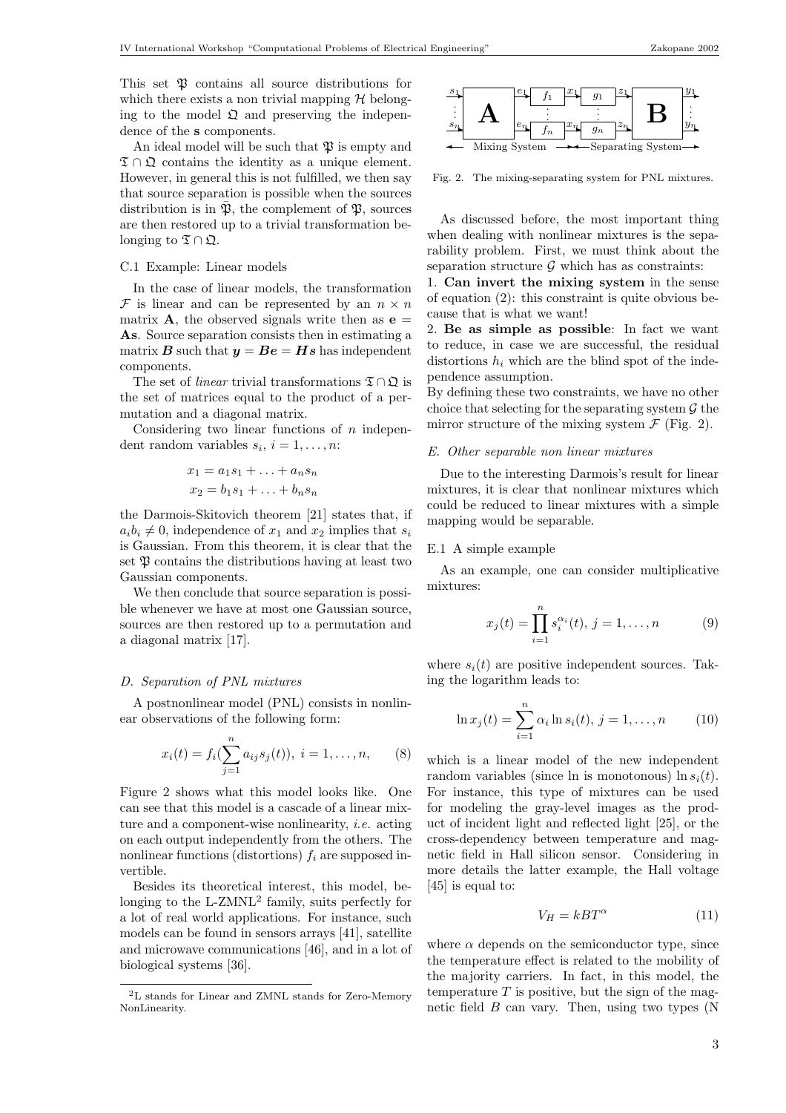This set  $\mathfrak V$  contains all source distributions for which there exists a non trivial mapping  $H$  belonging to the model  $\mathfrak Q$  and preserving the independence of the s components.

An ideal model will be such that  $\mathfrak P$  is empty and  $\mathfrak{T} \cap \mathfrak{Q}$  contains the identity as a unique element. However, in general this is not fulfilled, we then say that source separation is possible when the sources distribution is in  $\bar{\mathfrak{P}}$ , the complement of  $\mathfrak{P}$ , sources are then restored up to a trivial transformation belonging to  $\mathfrak{T} \cap \mathfrak{Q}$ .

## C.1 Example: Linear models

In the case of linear models, the transformation  $\mathcal F$  is linear and can be represented by an  $n \times n$ matrix **A**, the observed signals write then as  $\mathbf{e} =$ As. Source separation consists then in estimating a matrix **B** such that  $y = Be = Hs$  has independent components.

The set of *linear* trivial transformations  $\mathfrak{T} \cap \mathfrak{Q}$  is the set of matrices equal to the product of a permutation and a diagonal matrix.

Considering two linear functions of  $n$  independent random variables  $s_i$ ,  $i = 1, \ldots, n$ :

$$
x_1 = a_1 s_1 + \ldots + a_n s_n
$$

$$
x_2 = b_1 s_1 + \ldots + b_n s_n
$$

the Darmois-Skitovich theorem [21] states that, if  $a_i b_i \neq 0$ , independence of  $x_1$  and  $x_2$  implies that  $s_i$ is Gaussian. From this theorem, it is clear that the set  $\mathfrak P$  contains the distributions having at least two Gaussian components.

We then conclude that source separation is possible whenever we have at most one Gaussian source, sources are then restored up to a permutation and a diagonal matrix [17].

#### D. Separation of PNL mixtures

A postnonlinear model (PNL) consists in nonlinear observations of the following form:

$$
x_i(t) = f_i(\sum_{j=1}^n a_{ij} s_j(t)), \ i = 1, \dots, n,
$$
 (8)

Figure 2 shows what this model looks like. One can see that this model is a cascade of a linear mixture and a component-wise nonlinearity, i.e. acting on each output independently from the others. The nonlinear functions (distortions)  $f_i$  are supposed invertible.

Besides its theoretical interest, this model, belonging to the L-ZMNL<sup>2</sup> family, suits perfectly for a lot of real world applications. For instance, such models can be found in sensors arrays [41], satellite and microwave communications [46], and in a lot of biological systems [36].



Fig. 2. The mixing-separating system for PNL mixtures.

As discussed before, the most important thing when dealing with nonlinear mixtures is the separability problem. First, we must think about the separation structure  $\mathcal G$  which has as constraints:

1. Can invert the mixing system in the sense of equation (2): this constraint is quite obvious because that is what we want!

2. Be as simple as possible: In fact we want to reduce, in case we are successful, the residual distortions  $h_i$  which are the blind spot of the independence assumption.

By defining these two constraints, we have no other choice that selecting for the separating system  $\mathcal G$  the mirror structure of the mixing system  $\mathcal F$  (Fig. 2).

#### E. Other separable non linear mixtures

Due to the interesting Darmois's result for linear mixtures, it is clear that nonlinear mixtures which could be reduced to linear mixtures with a simple mapping would be separable.

## E.1 A simple example

As an example, one can consider multiplicative mixtures:

$$
x_j(t) = \prod_{i=1}^n s_i^{\alpha_i}(t), \, j = 1, \dots, n \tag{9}
$$

where  $s_i(t)$  are positive independent sources. Taking the logarithm leads to:

$$
\ln x_j(t) = \sum_{i=1}^n \alpha_i \ln s_i(t), \, j = 1, \dots, n \tag{10}
$$

which is a linear model of the new independent random variables (since ln is monotonous)  $\ln s_i(t)$ . For instance, this type of mixtures can be used for modeling the gray-level images as the product of incident light and reflected light [25], or the cross-dependency between temperature and magnetic field in Hall silicon sensor. Considering in more details the latter example, the Hall voltage [45] is equal to:

$$
V_H = kBT^\alpha \tag{11}
$$

where  $\alpha$  depends on the semiconductor type, since the temperature effect is related to the mobility of the majority carriers. In fact, in this model, the temperature  $T$  is positive, but the sign of the magnetic field  $B$  can vary. Then, using two types  $(N)$ 

 $^2\mathrm{L}$  stands for Linear and ZMNL stands for Zero-Memory NonLinearity.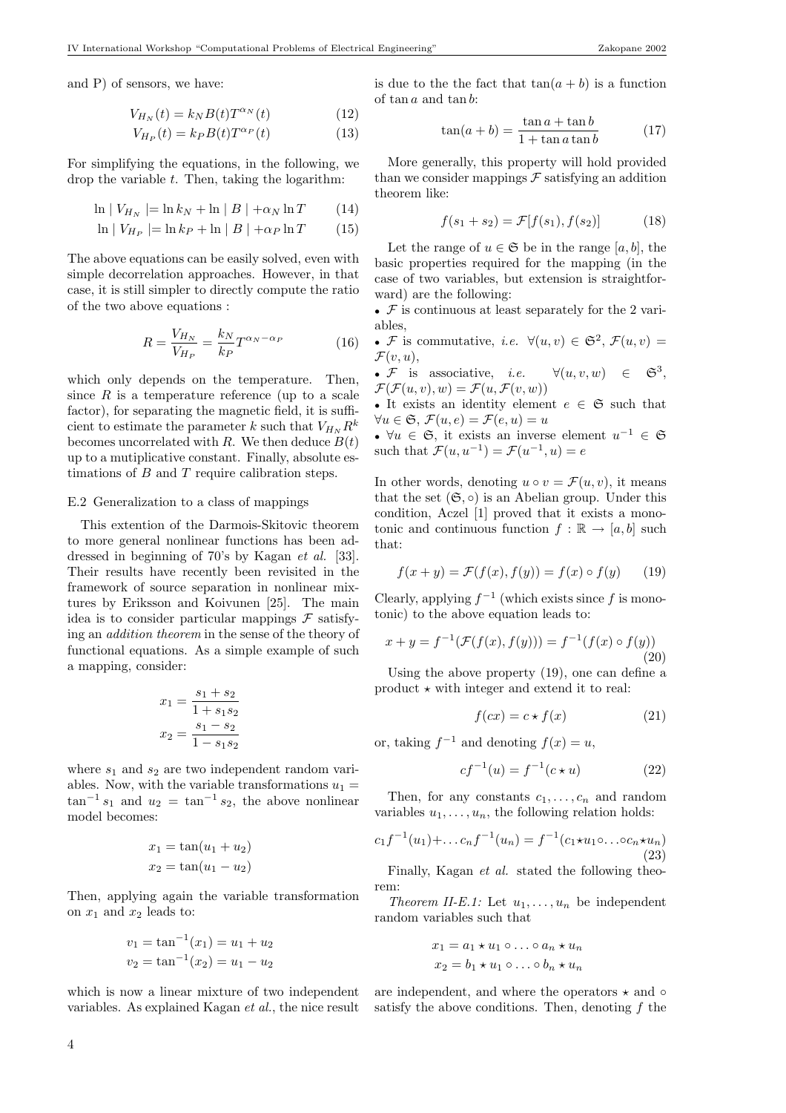and P) of sensors, we have:

$$
V_{H_N}(t) = k_N B(t) T^{\alpha_N}(t)
$$
\n(12)

$$
V_{H_P}(t) = k_P B(t) T^{\alpha_P}(t)
$$
\n(13)

For simplifying the equations, in the following, we drop the variable  $t$ . Then, taking the logarithm:

$$
\ln |V_{H_N}| = \ln k_N + \ln |B| + \alpha_N \ln T \qquad (14)
$$

$$
\ln |V_{H_P}| = \ln k_P + \ln |B| + \alpha_P \ln T \qquad (15)
$$

The above equations can be easily solved, even with simple decorrelation approaches. However, in that case, it is still simpler to directly compute the ratio of the two above equations :

$$
R = \frac{V_{H_N}}{V_{H_P}} = \frac{k_N}{k_P} T^{\alpha_N - \alpha_P} \tag{16}
$$

which only depends on the temperature. Then, since  $R$  is a temperature reference (up to a scale factor), for separating the magnetic field, it is sufficient to estimate the parameter k such that  $V_{H_N} R^k$ becomes uncorrelated with R. We then deduce  $B(t)$ up to a mutiplicative constant. Finally, absolute estimations of  $B$  and  $T$  require calibration steps.

## E.2 Generalization to a class of mappings

This extention of the Darmois-Skitovic theorem to more general nonlinear functions has been addressed in beginning of 70's by Kagan et al. [33]. Their results have recently been revisited in the framework of source separation in nonlinear mixtures by Eriksson and Koivunen [25]. The main idea is to consider particular mappings  $\mathcal F$  satisfying an addition theorem in the sense of the theory of functional equations. As a simple example of such a mapping, consider:

$$
x_1 = \frac{s_1 + s_2}{1 + s_1 s_2}
$$

$$
x_2 = \frac{s_1 - s_2}{1 - s_1 s_2}
$$

where  $s_1$  and  $s_2$  are two independent random variables. Now, with the variable transformations  $u_1 =$  $\tan^{-1}s_1$  and  $u_2 = \tan^{-1}s_2$ , the above nonlinear model becomes:

$$
x_1 = \tan(u_1 + u_2)
$$
  

$$
x_2 = \tan(u_1 - u_2)
$$

Then, applying again the variable transformation on  $x_1$  and  $x_2$  leads to:

$$
v_1 = \tan^{-1}(x_1) = u_1 + u_2
$$
  
\n $v_2 = \tan^{-1}(x_2) = u_1 - u_2$ 

which is now a linear mixture of two independent variables. As explained Kagan et al., the nice result is due to the the fact that  $tan(a + b)$  is a function of tan a and tan b:

$$
\tan(a+b) = \frac{\tan a + \tan b}{1 + \tan a \tan b} \tag{17}
$$

More generally, this property will hold provided than we consider mappings  $\mathcal F$  satisfying an addition theorem like:

$$
f(s_1 + s_2) = \mathcal{F}[f(s_1), f(s_2)] \tag{18}
$$

Let the range of  $u \in \mathfrak{S}$  be in the range  $[a, b]$ , the basic properties required for the mapping (in the case of two variables, but extension is straightforward) are the following:

•  $\mathcal F$  is continuous at least separately for the 2 variables,

• F is commutative, *i.e.*  $\forall (u, v) \in \mathfrak{S}^2$ ,  $\mathcal{F}(u, v) =$  $\mathcal{F}(v, u),$ 

•  $F$  is associative, *i.e.*  $\forall (u, v, w) \in \mathfrak{S}^3.$  $\mathcal{F}(\mathcal{F}(u, v), w) = \mathcal{F}(u, \mathcal{F}(v, w))$ 

• It exists an identity element  $e \in \mathfrak{S}$  such that  $\forall u \in \mathfrak{S}, \, \mathcal{F}(u, e) = \mathcal{F}(e, u) = u$ 

•  $\forall u \in \mathfrak{S}$ , it exists an inverse element  $u^{-1} \in \mathfrak{S}$ such that  $\mathcal{F}(u, u^{-1}) = \mathcal{F}(u^{-1}, u) = e$ 

In other words, denoting  $u \circ v = \mathcal{F}(u, v)$ , it means that the set  $(\mathfrak{S}, \circ)$  is an Abelian group. Under this condition, Aczel [1] proved that it exists a monotonic and continuous function  $f : \mathbb{R} \to [a, b]$  such that:

$$
f(x + y) = \mathcal{F}(f(x), f(y)) = f(x) \circ f(y) \qquad (19)
$$

Clearly, applying  $f^{-1}$  (which exists since f is monotonic) to the above equation leads to:

$$
x + y = f^{-1}(\mathcal{F}(f(x), f(y))) = f^{-1}(f(x) \circ f(y))
$$
\n(20)

Using the above property (19), one can define a product  $\star$  with integer and extend it to real:

$$
f(cx) = c \star f(x) \tag{21}
$$

or, taking  $f^{-1}$  and denoting  $f(x) = u$ ,

$$
cf^{-1}(u) = f^{-1}(c \star u)
$$
 (22)

Then, for any constants  $c_1, \ldots, c_n$  and random variables  $u_1, \ldots, u_n$ , the following relation holds:

$$
c_1 f^{-1}(u_1) + \dots + c_n f^{-1}(u_n) = f^{-1}(c_1 \star u_1 \circ \dots \circ c_n \star u_n)
$$
\n(23)

Finally, Kagan *et al.* stated the following theorem:

Theorem II-E.1: Let  $u_1, \ldots, u_n$  be independent random variables such that

$$
x_1 = a_1 \star u_1 \circ \dots \circ a_n \star u_n
$$
  

$$
x_2 = b_1 \star u_1 \circ \dots \circ b_n \star u_n
$$

are independent, and where the operators  $\star$  and  $\circ$ satisfy the above conditions. Then, denoting  $f$  the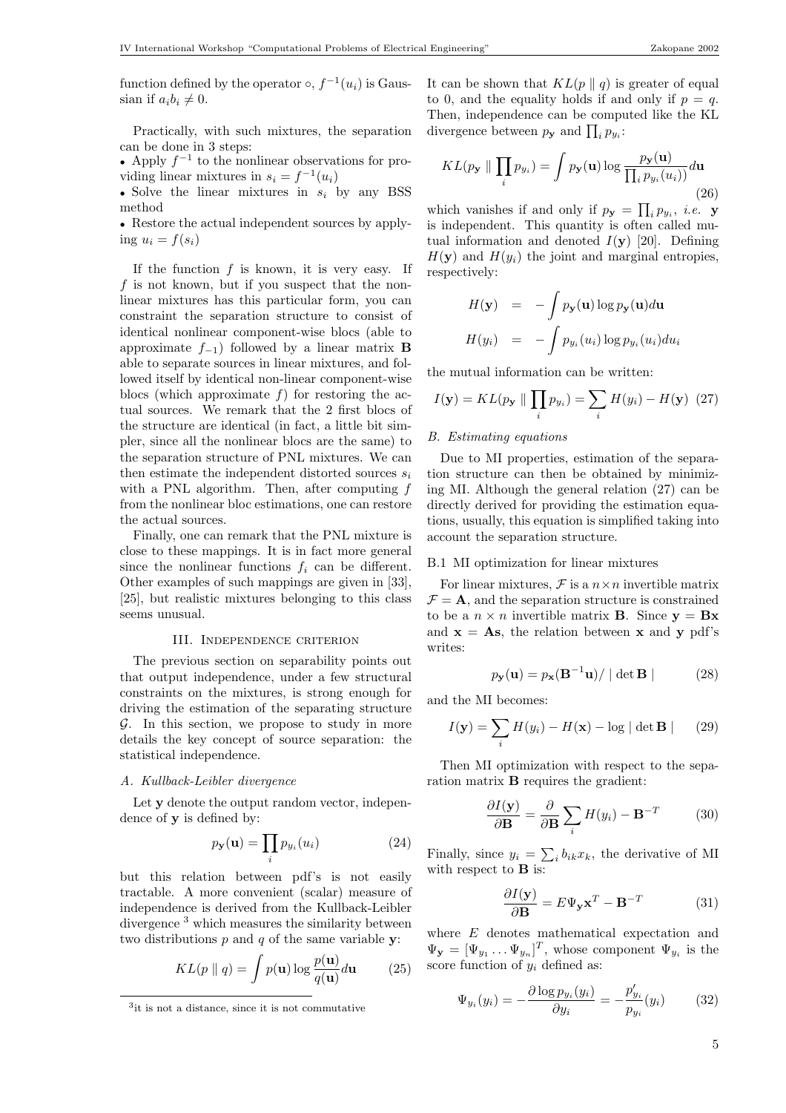Practically, with such mixtures, the separation can be done in 3 steps:

• Apply  $f^{-1}$  to the nonlinear observations for providing linear mixtures in  $s_i = f^{-1}(u_i)$ 

• Solve the linear mixtures in  $s_i$  by any BSS method

• Restore the actual independent sources by applying  $u_i = f(s_i)$ 

If the function  $f$  is known, it is very easy. If f is not known, but if you suspect that the nonlinear mixtures has this particular form, you can constraint the separation structure to consist of identical nonlinear component-wise blocs (able to approximate  $f_{-1}$ ) followed by a linear matrix **B** able to separate sources in linear mixtures, and followed itself by identical non-linear component-wise blocs (which approximate  $f$ ) for restoring the actual sources. We remark that the 2 first blocs of the structure are identical (in fact, a little bit simpler, since all the nonlinear blocs are the same) to the separation structure of PNL mixtures. We can then estimate the independent distorted sources  $s_i$ with a PNL algorithm. Then, after computing f from the nonlinear bloc estimations, one can restore the actual sources.

Finally, one can remark that the PNL mixture is close to these mappings. It is in fact more general since the nonlinear functions  $f_i$  can be different. Other examples of such mappings are given in [33], [25], but realistic mixtures belonging to this class seems unusual.

#### III. Independence criterion

The previous section on separability points out that output independence, under a few structural constraints on the mixtures, is strong enough for driving the estimation of the separating structure  $G$ . In this section, we propose to study in more details the key concept of source separation: the statistical independence.

#### A. Kullback-Leibler divergence

Let y denote the output random vector, independence of y is defined by:

$$
p_{\mathbf{y}}(\mathbf{u}) = \prod_{i} p_{y_i}(u_i) \tag{24}
$$

but this relation between pdf's is not easily tractable. A more convenient (scalar) measure of independence is derived from the Kullback-Leibler divergence <sup>3</sup> which measures the similarity between two distributions  $p$  and  $q$  of the same variable  $y$ :

$$
KL(p \parallel q) = \int p(\mathbf{u}) \log \frac{p(\mathbf{u})}{q(\mathbf{u})} d\mathbf{u}
$$
 (25)

It can be shown that  $KL(p \parallel q)$  is greater of equal to 0, and the equality holds if and only if  $p = q$ . Then, independence can be computed like the KL Then, independence can be computed<br>divergence between  $p_{y}$  and  $\prod_{i} p_{y_i}$ :

$$
KL(p_{\mathbf{y}} \parallel \prod_{i} p_{y_i}) = \int p_{\mathbf{y}}(\mathbf{u}) \log \frac{p_{\mathbf{y}}(\mathbf{u})}{\prod_{i} p_{y_i}(u_i))} d\mathbf{u}
$$
\n(26)

which vanishes if and only if  $p_{y} = \prod$  $i p_{y_i}$ , *i.e.* y is independent. This quantity is often called mutual information and denoted  $I(\mathbf{v})$  [20]. Defining  $H(\mathbf{y})$  and  $H(y_i)$  the joint and marginal entropies, respectively:

$$
H(\mathbf{y}) = -\int p_{\mathbf{y}}(\mathbf{u}) \log p_{\mathbf{y}}(\mathbf{u}) d\mathbf{u}
$$

$$
H(y_i) = -\int p_{y_i}(u_i) \log p_{y_i}(u_i) du_i
$$

the mutual information can be written:

$$
I(\mathbf{y}) = KL(p_{\mathbf{y}} \parallel \prod_{i} p_{y_i}) = \sum_{i} H(y_i) - H(\mathbf{y}) \tag{27}
$$

## B. Estimating equations

Due to MI properties, estimation of the separation structure can then be obtained by minimizing MI. Although the general relation (27) can be directly derived for providing the estimation equations, usually, this equation is simplified taking into account the separation structure.

## B.1 MI optimization for linear mixtures

For linear mixtures,  $\mathcal F$  is a  $n \times n$  invertible matrix  $\mathcal{F} = \mathbf{A}$ , and the separation structure is constrained to be a  $n \times n$  invertible matrix **B**. Since  $\mathbf{v} = \mathbf{B}\mathbf{x}$ and  $x = As$ , the relation between x and y pdf's writes:

$$
p_{\mathbf{y}}(\mathbf{u}) = p_{\mathbf{x}}(\mathbf{B}^{-1}\mathbf{u}) / | \det \mathbf{B} |
$$
 (28)

and the MI becomes:

$$
I(\mathbf{y}) = \sum_{i} H(y_i) - H(\mathbf{x}) - \log |\det \mathbf{B}| \qquad (29)
$$

Then MI optimization with respect to the separation matrix B requires the gradient:

$$
\frac{\partial I(\mathbf{y})}{\partial \mathbf{B}} = \frac{\partial}{\partial \mathbf{B}} \sum_{i} H(y_i) - \mathbf{B}^{-T}
$$
 (30)

Finally, since  $y_i = \sum$  $i_b h_k x_k$ , the derivative of MI with respect to **B** is:

$$
\frac{\partial I(\mathbf{y})}{\partial \mathbf{B}} = E \Psi_{\mathbf{y}} \mathbf{x}^T - \mathbf{B}^{-T}
$$
 (31)

where E denotes mathematical expectation and  $\Psi_{\mathbf{y}} = [\Psi_{y_1} \dots \Psi_{y_n}]^T$ , whose component  $\Psi_{y_i}$  is the score function of  $y_i$  defined as:

$$
\Psi_{y_i}(y_i) = -\frac{\partial \log p_{y_i}(y_i)}{\partial y_i} = -\frac{p'_{y_i}}{p_{y_i}}(y_i)
$$
(32)

<sup>3</sup> it is not a distance, since it is not commutative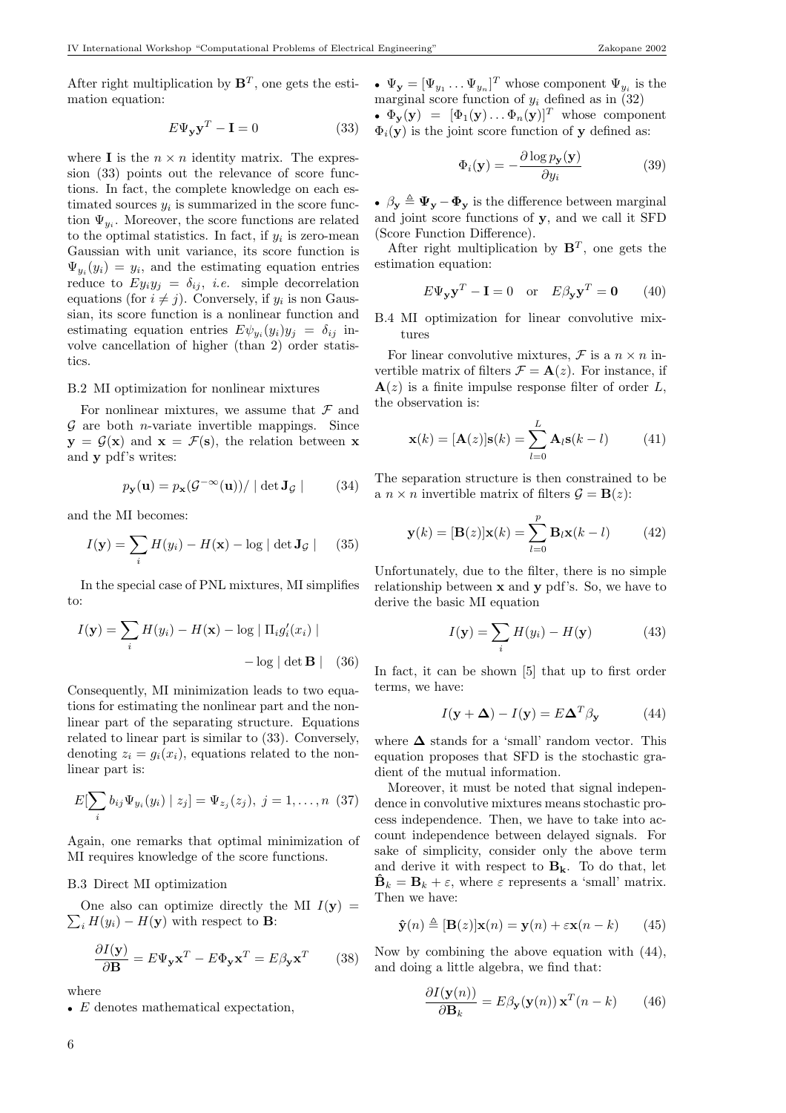After right multiplication by  $\mathbf{B}^T$ , one gets the estimation equation:

$$
E\Psi_{\mathbf{y}}\mathbf{y}^T - \mathbf{I} = 0 \tag{33}
$$

where **I** is the  $n \times n$  identity matrix. The expression (33) points out the relevance of score functions. In fact, the complete knowledge on each estimated sources  $y_i$  is summarized in the score function  $\Psi_{y_i}$ . Moreover, the score functions are related to the optimal statistics. In fact, if  $y_i$  is zero-mean Gaussian with unit variance, its score function is  $\Psi_{y_i}(y_i) = y_i$ , and the estimating equation entries reduce to  $Ey_iy_j = \delta_{ij}$ , *i.e.* simple decorrelation equations (for  $i \neq j$ ). Conversely, if  $y_i$  is non Gaussian, its score function is a nonlinear function and estimating equation entries  $E\psi_{y_i}(y_i)y_j = \delta_{ij}$  involve cancellation of higher (than 2) order statistics.

#### B.2 MI optimization for nonlinear mixtures

For nonlinear mixtures, we assume that  $\mathcal F$  and  $G$  are both *n*-variate invertible mappings. Since  $y = \mathcal{G}(x)$  and  $x = \mathcal{F}(s)$ , the relation between x and y pdf's writes:

$$
p_{\mathbf{y}}(\mathbf{u}) = p_{\mathbf{x}}(\mathcal{G}^{-\infty}(\mathbf{u})) / \mid \det \mathbf{J}_{\mathcal{G}} \mid (34)
$$

and the MI becomes:

$$
I(\mathbf{y}) = \sum_{i} H(y_i) - H(\mathbf{x}) - \log |\det \mathbf{J}_{\mathcal{G}}|
$$
 (35)

In the special case of PNL mixtures, MI simplifies to:

$$
I(\mathbf{y}) = \sum_{i} H(y_i) - H(\mathbf{x}) - \log |\Pi_i g'_i(x_i)| - \log |\det \mathbf{B}|
$$
 (36)

Consequently, MI minimization leads to two equations for estimating the nonlinear part and the nonlinear part of the separating structure. Equations related to linear part is similar to (33). Conversely, denoting  $z_i = g_i(x_i)$ , equations related to the nonlinear part is:

$$
E[\sum_{i} b_{ij} \Psi_{y_i}(y_i) | z_j] = \Psi_{z_j}(z_j), \ j = 1, \dots, n \ (37)
$$

Again, one remarks that optimal minimization of MI requires knowledge of the score functions.

## B.3 Direct MI optimization

One also can optimize directly the  $\sum_i H(y_i) - H(\mathbf{y})$  with respect to **B**: One also can optimize directly the MI  $I(\mathbf{y}) =$ 

$$
\frac{\partial I(\mathbf{y})}{\partial \mathbf{B}} = E \Psi_{\mathbf{y}} \mathbf{x}^T - E \Phi_{\mathbf{y}} \mathbf{x}^T = E \beta_{\mathbf{y}} \mathbf{x}^T \qquad (38)
$$

where

•  $\Psi_{\mathbf{y}} = [\Psi_{y_1} \dots \Psi_{y_n}]^T$  whose component  $\Psi_{y_i}$  is the marginal score function of  $y_i$  defined as in (32)

•  $\Phi_{\mathbf{y}}(\mathbf{y}) = [\Phi_1(\mathbf{y}), \dots, \Phi_n(\mathbf{y})]^T$  whose component  $\Phi_i(\mathbf{y})$  is the joint score function of y defined as:

$$
\Phi_i(\mathbf{y}) = -\frac{\partial \log p_{\mathbf{y}}(\mathbf{y})}{\partial y_i} \tag{39}
$$

•  $\beta_{\mathbf{y}} \triangleq \Psi_{\mathbf{y}} - \Phi_{\mathbf{y}}$  is the difference between marginal and joint score functions of y, and we call it SFD (Score Function Difference).

After right multiplication by  $\mathbf{B}^T$ , one gets the estimation equation:

$$
E\Psi_{\mathbf{y}}\mathbf{y}^T - \mathbf{I} = 0 \quad \text{or} \quad E\beta_{\mathbf{y}}\mathbf{y}^T = \mathbf{0} \tag{40}
$$

B.4 MI optimization for linear convolutive mixtures

For linear convolutive mixtures,  $\mathcal F$  is a  $n \times n$  invertible matrix of filters  $\mathcal{F} = \mathbf{A}(z)$ . For instance, if  $\mathbf{A}(z)$  is a finite impulse response filter of order L, the observation is:

$$
\mathbf{x}(k) = [\mathbf{A}(z)]\mathbf{s}(k) = \sum_{l=0}^{L} \mathbf{A}_l \mathbf{s}(k-l)
$$
(41)

The separation structure is then constrained to be a  $n \times n$  invertible matrix of filters  $\mathcal{G} = \mathbf{B}(z)$ :

$$
\mathbf{y}(k) = [\mathbf{B}(z)]\mathbf{x}(k) = \sum_{l=0}^{p} \mathbf{B}_{l}\mathbf{x}(k-l)
$$
 (42)

Unfortunately, due to the filter, there is no simple relationship between x and y pdf's. So, we have to derive the basic MI equation

$$
I(\mathbf{y}) = \sum_{i} H(y_i) - H(\mathbf{y})
$$
 (43)

In fact, it can be shown [5] that up to first order terms, we have:

$$
I(\mathbf{y} + \Delta) - I(\mathbf{y}) = E\Delta^T \beta_{\mathbf{y}} \tag{44}
$$

where  $\Delta$  stands for a 'small' random vector. This equation proposes that SFD is the stochastic gradient of the mutual information.

Moreover, it must be noted that signal independence in convolutive mixtures means stochastic process independence. Then, we have to take into account independence between delayed signals. For sake of simplicity, consider only the above term and derive it with respect to  $\mathbf{B}_{k}$ . To do that, let  $\hat{\mathbf{B}}_k = \mathbf{B}_k + \varepsilon$ , where  $\varepsilon$  represents a 'small' matrix. Then we have:

$$
\hat{\mathbf{y}}(n) \triangleq [\mathbf{B}(z)]\mathbf{x}(n) = \mathbf{y}(n) + \varepsilon \mathbf{x}(n - k) \qquad (45)
$$

Now by combining the above equation with (44), and doing a little algebra, we find that:

$$
\frac{\partial I(\mathbf{y}(n))}{\partial \mathbf{B}_k} = E\beta_{\mathbf{y}}(\mathbf{y}(n)) \mathbf{x}^T(n-k) \qquad (46)
$$

<sup>•</sup> E denotes mathematical expectation,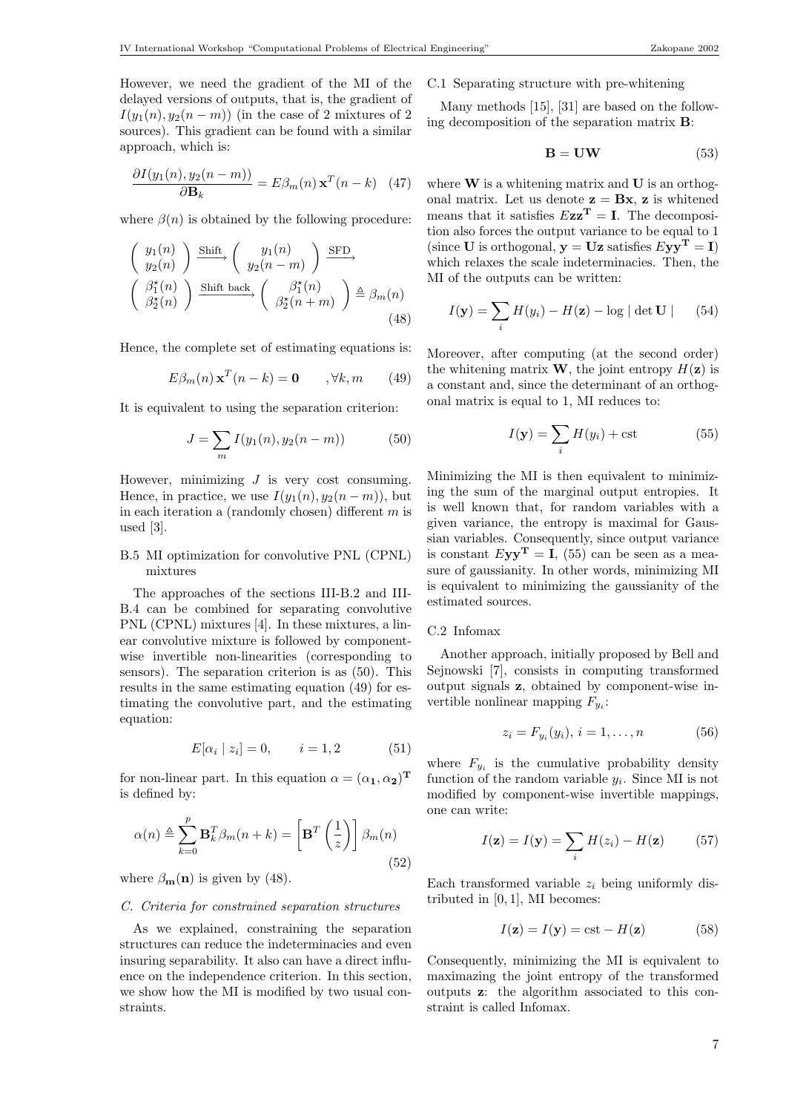$$
\frac{\partial I(y_1(n), y_2(n-m))}{\partial \mathbf{B}_k} = E\beta_m(n) \mathbf{x}^T(n-k) \quad (47)
$$

where  $\beta(n)$  is obtained by the following procedure:

$$
\begin{pmatrix} y_1(n) \\ y_2(n) \end{pmatrix} \xrightarrow{\text{Shift}} \begin{pmatrix} y_1(n) \\ y_2(n-m) \end{pmatrix} \xrightarrow{\text{SFD}} \\ \begin{pmatrix} \beta_1^*(n) \\ \beta_2^*(n) \end{pmatrix} \xrightarrow{\text{Shift back}} \begin{pmatrix} \beta_1^*(n) \\ \beta_2^*(n+m) \end{pmatrix} \xrightarrow{\triangle} \beta_m(n) \tag{48}
$$

Hence, the complete set of estimating equations is:

$$
E\beta_m(n)\mathbf{x}^T(n-k) = \mathbf{0} \qquad , \forall k, m \qquad (49)
$$

It is equivalent to using the separation criterion:

$$
J = \sum_{m} I(y_1(n), y_2(n-m))
$$
 (50)

However, minimizing  $J$  is very cost consuming. Hence, in practice, we use  $I(y_1(n), y_2(n-m))$ , but in each iteration a (randomly chosen) different  $m$  is used [3].

# B.5 MI optimization for convolutive PNL (CPNL) mixtures

The approaches of the sections III-B.2 and III-B.4 can be combined for separating convolutive PNL (CPNL) mixtures [4]. In these mixtures, a linear convolutive mixture is followed by componentwise invertible non-linearities (corresponding to sensors). The separation criterion is as (50). This results in the same estimating equation (49) for estimating the convolutive part, and the estimating equation:

$$
E[\alpha_i \mid z_i] = 0, \qquad i = 1, 2 \tag{51}
$$

for non-linear part. In this equation  $\alpha = (\alpha_1, \alpha_2)^T$ is defined by:

$$
\alpha(n) \triangleq \sum_{k=0}^{p} \mathbf{B}_{k}^{T} \beta_{m}(n+k) = \left[ \mathbf{B}^{T} \left( \frac{1}{z} \right) \right] \beta_{m}(n)
$$
\n(52)

where  $\beta_{\mathbf{m}}(\mathbf{n})$  is given by (48).

## C. Criteria for constrained separation structures

As we explained, constraining the separation structures can reduce the indeterminacies and even insuring separability. It also can have a direct influence on the independence criterion. In this section, we show how the MI is modified by two usual constraints.

# C.1 Separating structure with pre-whitening

Many methods [15], [31] are based on the following decomposition of the separation matrix B:

$$
B = UW \tag{53}
$$

where  $W$  is a whitening matrix and  $U$  is an orthogonal matrix. Let us denote  $z = Bx$ , z is whitened means that it satisfies  $Ezz^T = I$ . The decomposition also forces the output variance to be equal to 1 (since **U** is orthogonal,  $y = Uz$  satisfies  $Eyy^T = I$ ) which relaxes the scale indeterminacies. Then, the MI of the outputs can be written:

$$
I(\mathbf{y}) = \sum_{i} H(y_i) - H(\mathbf{z}) - \log |\det \mathbf{U}| \qquad (54)
$$

Moreover, after computing (at the second order) the whitening matrix **W**, the joint entropy  $H(\mathbf{z})$  is a constant and, since the determinant of an orthogonal matrix is equal to 1, MI reduces to:

$$
I(\mathbf{y}) = \sum_{i} H(y_i) + \text{cst}
$$
 (55)

Minimizing the MI is then equivalent to minimizing the sum of the marginal output entropies. It is well known that, for random variables with a given variance, the entropy is maximal for Gaussian variables. Consequently, since output variance is constant  $Eyy^T = I$ , (55) can be seen as a measure of gaussianity. In other words, minimizing MI is equivalent to minimizing the gaussianity of the estimated sources.

## C.2 Infomax

Another approach, initially proposed by Bell and Sejnowski [7], consists in computing transformed output signals z, obtained by component-wise invertible nonlinear mapping  $F_{y_i}$ :

$$
z_i = F_{y_i}(y_i), \, i = 1, \dots, n \tag{56}
$$

where  $F_{y_i}$  is the cumulative probability density function of the random variable  $y_i$ . Since MI is not modified by component-wise invertible mappings, one can write:

$$
I(\mathbf{z}) = I(\mathbf{y}) = \sum_{i} H(z_i) - H(\mathbf{z}) \tag{57}
$$

Each transformed variable  $z_i$  being uniformly distributed in [0, 1], MI becomes:

$$
I(\mathbf{z}) = I(\mathbf{y}) = \text{cst} - H(\mathbf{z}) \tag{58}
$$

Consequently, minimizing the MI is equivalent to maximazing the joint entropy of the transformed outputs z: the algorithm associated to this constraint is called Infomax.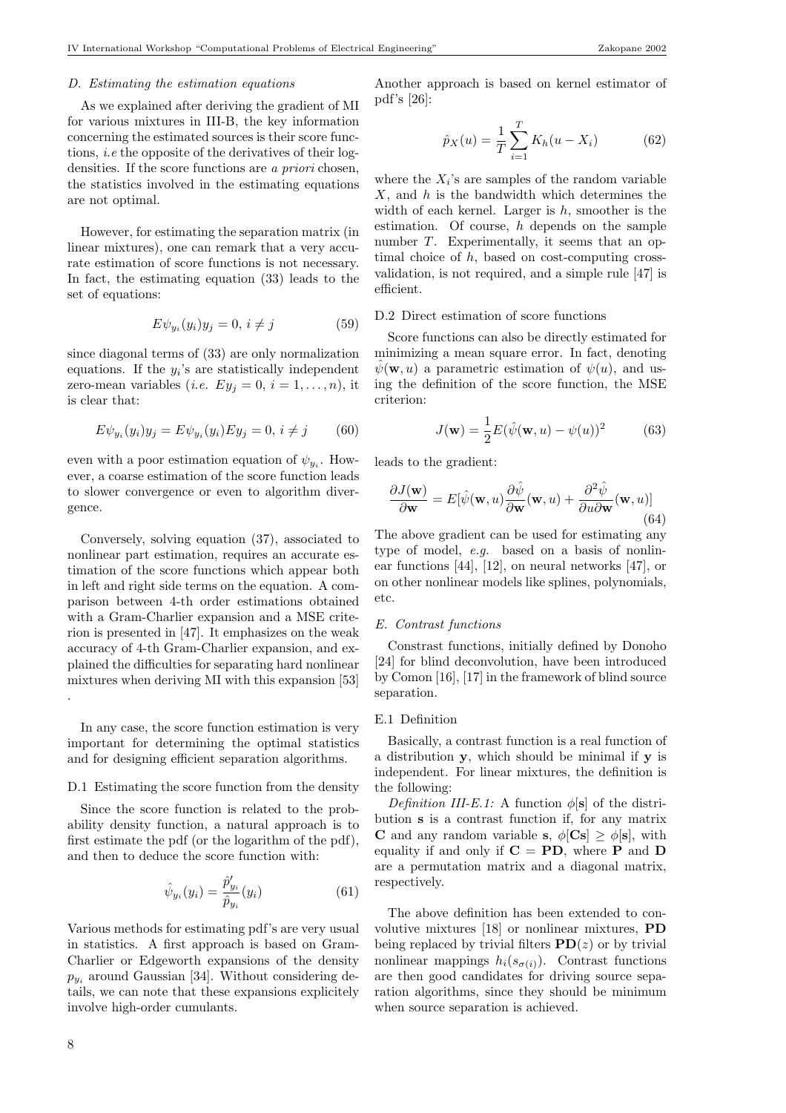#### D. Estimating the estimation equations

As we explained after deriving the gradient of MI for various mixtures in III-B, the key information concerning the estimated sources is their score functions, i.e the opposite of the derivatives of their logdensities. If the score functions are a priori chosen, the statistics involved in the estimating equations are not optimal.

However, for estimating the separation matrix (in linear mixtures), one can remark that a very accurate estimation of score functions is not necessary. In fact, the estimating equation (33) leads to the set of equations:

$$
E\psi_{y_i}(y_i)y_j = 0, i \neq j \tag{59}
$$

since diagonal terms of (33) are only normalization equations. If the  $y_i$ 's are statistically independent zero-mean variables (*i.e.*  $Ey_j = 0, i = 1, \ldots, n$ ), it is clear that:

$$
E\psi_{y_i}(y_i)y_j = E\psi_{y_i}(y_i)Ey_j = 0, i \neq j \tag{60}
$$

even with a poor estimation equation of  $\psi_{y_i}$ . However, a coarse estimation of the score function leads to slower convergence or even to algorithm divergence.

Conversely, solving equation (37), associated to nonlinear part estimation, requires an accurate estimation of the score functions which appear both in left and right side terms on the equation. A comparison between 4-th order estimations obtained with a Gram-Charlier expansion and a MSE criterion is presented in [47]. It emphasizes on the weak accuracy of 4-th Gram-Charlier expansion, and explained the difficulties for separating hard nonlinear mixtures when deriving MI with this expansion [53] .

In any case, the score function estimation is very important for determining the optimal statistics and for designing efficient separation algorithms.

## D.1 Estimating the score function from the density

Since the score function is related to the probability density function, a natural approach is to first estimate the pdf (or the logarithm of the pdf), and then to deduce the score function with:

$$
\hat{\psi}_{y_i}(y_i) = \frac{\hat{p}'_{y_i}}{\hat{p}_{y_i}}(y_i)
$$
\n(61)

Various methods for estimating pdf's are very usual in statistics. A first approach is based on Gram-Charlier or Edgeworth expansions of the density  $p_{y_i}$  around Gaussian [34]. Without considering details, we can note that these expansions explicitely involve high-order cumulants.

Another approach is based on kernel estimator of pdf's [26]:

$$
\hat{p}_X(u) = \frac{1}{T} \sum_{i=1}^T K_h(u - X_i)
$$
\n(62)

where the  $X_i$ 's are samples of the random variable  $X$ , and  $h$  is the bandwidth which determines the width of each kernel. Larger is  $h$ , smoother is the estimation. Of course,  $h$  depends on the sample number T. Experimentally, it seems that an optimal choice of  $h$ , based on cost-computing crossvalidation, is not required, and a simple rule [47] is efficient.

## D.2 Direct estimation of score functions

Score functions can also be directly estimated for minimizing a mean square error. In fact, denoting  $\hat{\psi}(\mathbf{w}, u)$  a parametric estimation of  $\psi(u)$ , and using the definition of the score function, the MSE criterion:

$$
J(\mathbf{w}) = \frac{1}{2}E(\hat{\psi}(\mathbf{w}, u) - \psi(u))^2
$$
 (63)

leads to the gradient:

$$
\frac{\partial J(\mathbf{w})}{\partial \mathbf{w}} = E[\hat{\psi}(\mathbf{w}, u) \frac{\partial \hat{\psi}}{\partial \mathbf{w}}(\mathbf{w}, u) + \frac{\partial^2 \hat{\psi}}{\partial u \partial \mathbf{w}}(\mathbf{w}, u)]
$$
(64)

The above gradient can be used for estimating any type of model, e.g. based on a basis of nonlinear functions [44], [12], on neural networks [47], or on other nonlinear models like splines, polynomials, etc.

#### E. Contrast functions

Constrast functions, initially defined by Donoho [24] for blind deconvolution, have been introduced by Comon [16], [17] in the framework of blind source separation.

## E.1 Definition

Basically, a contrast function is a real function of a distribution y, which should be minimal if y is independent. For linear mixtures, the definition is the following:

Definition III-E.1: A function  $\phi[\mathbf{s}]$  of the distribution s is a contrast function if, for any matrix **C** and any random variable **s**,  $\phi$ [**Cs**]  $> \phi$ [**s**], with equality if and only if  $C = PD$ , where P and D are a permutation matrix and a diagonal matrix, respectively.

The above definition has been extended to convolutive mixtures [18] or nonlinear mixtures, PD being replaced by trivial filters  $PD(z)$  or by trivial nonlinear mappings  $h_i(s_{\sigma(i)})$ . Contrast functions are then good candidates for driving source separation algorithms, since they should be minimum when source separation is achieved.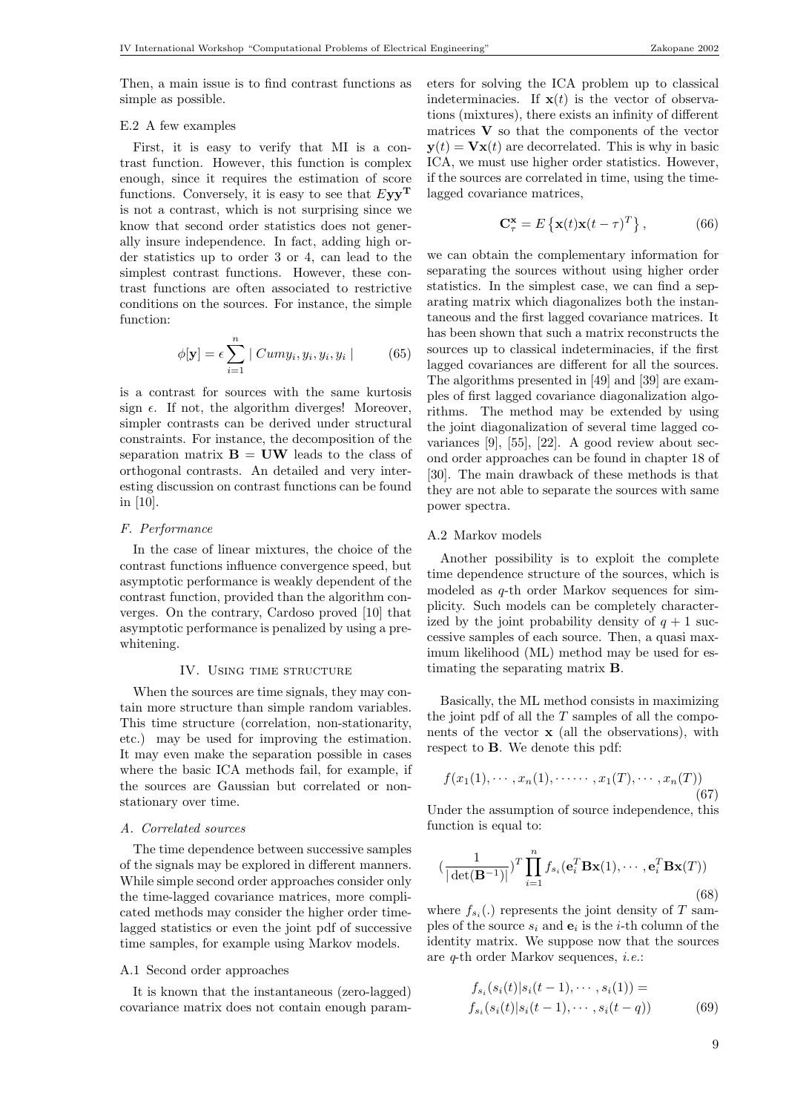Then, a main issue is to find contrast functions as simple as possible.

# E.2 A few examples

First, it is easy to verify that MI is a contrast function. However, this function is complex enough, since it requires the estimation of score functions. Conversely, it is easy to see that  $Eyy^T$ is not a contrast, which is not surprising since we know that second order statistics does not generally insure independence. In fact, adding high order statistics up to order 3 or 4, can lead to the simplest contrast functions. However, these contrast functions are often associated to restrictive conditions on the sources. For instance, the simple function:

$$
\phi[\mathbf{y}] = \epsilon \sum_{i=1}^{n} |Cum y_i, y_i, y_i, y_i| \qquad (65)
$$

is a contrast for sources with the same kurtosis sign  $\epsilon$ . If not, the algorithm diverges! Moreover, simpler contrasts can be derived under structural constraints. For instance, the decomposition of the separation matrix  $\mathbf{B} = \mathbf{U}\mathbf{W}$  leads to the class of orthogonal contrasts. An detailed and very interesting discussion on contrast functions can be found in [10].

## F. Performance

In the case of linear mixtures, the choice of the contrast functions influence convergence speed, but asymptotic performance is weakly dependent of the contrast function, provided than the algorithm converges. On the contrary, Cardoso proved [10] that asymptotic performance is penalized by using a prewhitening.

# IV. USING TIME STRUCTURE

When the sources are time signals, they may contain more structure than simple random variables. This time structure (correlation, non-stationarity, etc.) may be used for improving the estimation. It may even make the separation possible in cases where the basic ICA methods fail, for example, if the sources are Gaussian but correlated or nonstationary over time.

## A. Correlated sources

The time dependence between successive samples of the signals may be explored in different manners. While simple second order approaches consider only the time-lagged covariance matrices, more complicated methods may consider the higher order timelagged statistics or even the joint pdf of successive time samples, for example using Markov models.

#### A.1 Second order approaches

It is known that the instantaneous (zero-lagged) covariance matrix does not contain enough parameters for solving the ICA problem up to classical indeterminacies. If  $\mathbf{x}(t)$  is the vector of observations (mixtures), there exists an infinity of different matrices  $V$  so that the components of the vector  $y(t) = \mathbf{V}\mathbf{x}(t)$  are decorrelated. This is why in basic ICA, we must use higher order statistics. However, if the sources are correlated in time, using the timelagged covariance matrices,

$$
\mathbf{C}_{\tau}^{\mathbf{x}} = E\left\{ \mathbf{x}(t)\mathbf{x}(t-\tau)^{T} \right\},\qquad(66)
$$

we can obtain the complementary information for separating the sources without using higher order statistics. In the simplest case, we can find a separating matrix which diagonalizes both the instantaneous and the first lagged covariance matrices. It has been shown that such a matrix reconstructs the sources up to classical indeterminacies, if the first lagged covariances are different for all the sources. The algorithms presented in [49] and [39] are examples of first lagged covariance diagonalization algorithms. The method may be extended by using the joint diagonalization of several time lagged covariances [9], [55], [22]. A good review about second order approaches can be found in chapter 18 of [30]. The main drawback of these methods is that they are not able to separate the sources with same power spectra.

# A.2 Markov models

Another possibility is to exploit the complete time dependence structure of the sources, which is modeled as q-th order Markov sequences for simplicity. Such models can be completely characterized by the joint probability density of  $q + 1$  successive samples of each source. Then, a quasi maximum likelihood (ML) method may be used for estimating the separating matrix B.

Basically, the ML method consists in maximizing the joint pdf of all the  $T$  samples of all the components of the vector  $x$  (all the observations), with respect to B. We denote this pdf:

$$
f(x_1(1),...,x_n(1),...,x_1(T),...,x_n(T))
$$
 (67)

Under the assumption of source independence, this function is equal to:

$$
\left(\frac{1}{|\det(\mathbf{B}^{-1})|}\right)^T \prod_{i=1}^n f_{s_i}(\mathbf{e}_i^T \mathbf{B} \mathbf{x}(1), \cdots, \mathbf{e}_i^T \mathbf{B} \mathbf{x}(T))
$$
\n(68)

where  $f_{s_i}(.)$  represents the joint density of T samples of the source  $s_i$  and  $e_i$  is the *i*-th column of the identity matrix. We suppose now that the sources are q-th order Markov sequences, i.e.:

$$
f_{s_i}(s_i(t)|s_i(t-1), \cdots, s_i(1)) = f_{s_i}(s_i(t)|s_i(t-1), \cdots, s_i(t-q))
$$
 (69)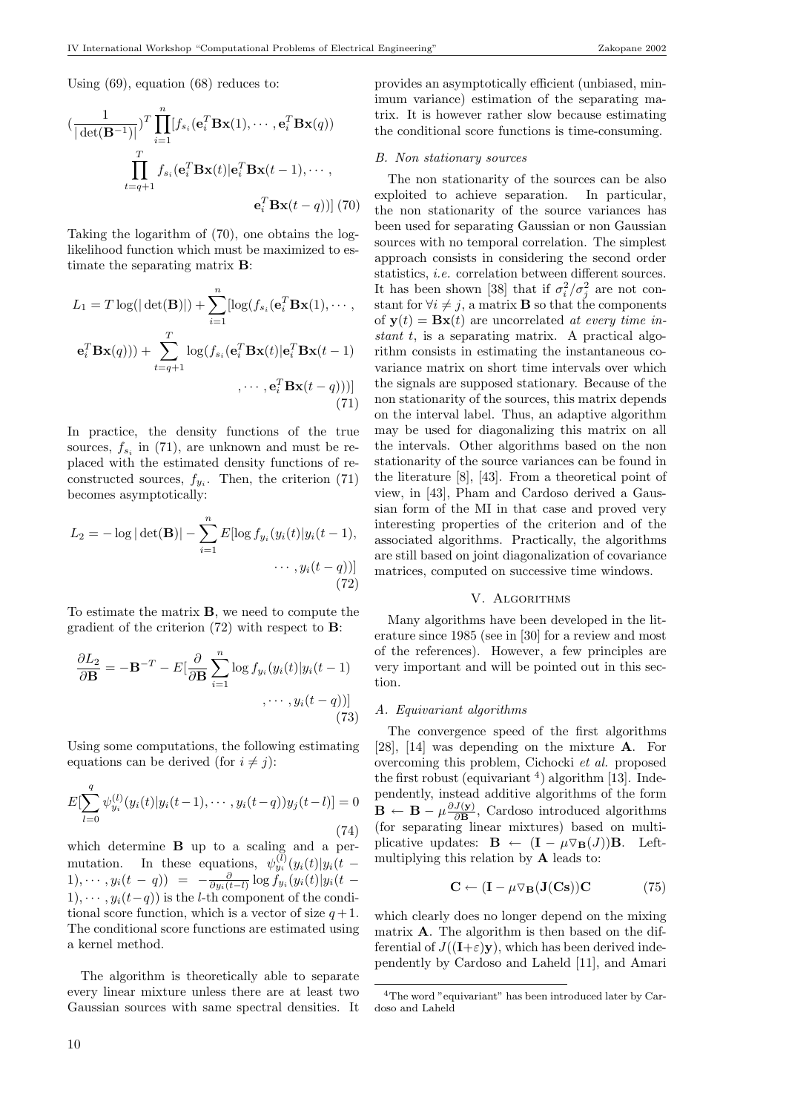Using (69), equation (68) reduces to:

$$
\left(\frac{1}{|\det(\mathbf{B}^{-1})|}\right)^T \prod_{i=1}^n [f_{s_i}(\mathbf{e}_i^T \mathbf{B} \mathbf{x}(1), \cdots, \mathbf{e}_i^T \mathbf{B} \mathbf{x}(q))
$$

$$
\prod_{t=q+1}^T f_{s_i}(\mathbf{e}_i^T \mathbf{B} \mathbf{x}(t) | \mathbf{e}_i^T \mathbf{B} \mathbf{x}(t-1), \cdots,
$$

$$
\mathbf{e}_i^T \mathbf{B} \mathbf{x}(t-q))] (70)
$$

Taking the logarithm of (70), one obtains the loglikelihood function which must be maximized to estimate the separating matrix B:

$$
L_1 = T \log(|\det(\mathbf{B})|) + \sum_{i=1}^n [\log(f_{s_i}(\mathbf{e}_i^T \mathbf{B} \mathbf{x}(1), \cdots, \mathbf{e}_i^T \mathbf{B} \mathbf{x}(q))) + \sum_{t=q+1}^T \log(f_{s_i}(\mathbf{e}_i^T \mathbf{B} \mathbf{x}(t)|\mathbf{e}_i^T \mathbf{B} \mathbf{x}(t-1) \cdots, \mathbf{e}_i^T \mathbf{B} \mathbf{x}(t-q)))]
$$
\n(71)

In practice, the density functions of the true sources,  $f_{s_i}$  in (71), are unknown and must be replaced with the estimated density functions of reconstructed sources,  $f_{y_i}$ . Then, the criterion (71) becomes asymptotically:

$$
L_2 = -\log|\det(\mathbf{B})| - \sum_{i=1}^{n} E[\log f_{y_i}(y_i(t)|y_i(t-1), \dots, y_i(t-q))]
$$
\n
$$
\dots, y_i(t-q))]
$$
\n(72)

To estimate the matrix B, we need to compute the gradient of the criterion (72) with respect to B:

$$
\frac{\partial L_2}{\partial \mathbf{B}} = -\mathbf{B}^{-T} - E\left[\frac{\partial}{\partial \mathbf{B}} \sum_{i=1}^n \log f_{y_i}(y_i(t)|y_i(t-1))\right] \tag{73}
$$

Using some computations, the following estimating equations can be derived (for  $i \neq j$ ):

$$
E[\sum_{l=0}^{q} \psi_{y_i}^{(l)}(y_i(t)|y_i(t-1), \cdots, y_i(t-q))y_j(t-l)] = 0
$$
\n(74)

which determine B up to a scaling and a permutation. In these equations,  $\psi_{y_i}^{(l)}(y_i(t)|y_i(t))$ 1),  $\cdots$ ,  $y_i(t-q)$  =  $-\frac{\partial}{\partial y_i(t-l)} \log f_{y_i}(y_i(t))y_i(t-$ 1),  $\cdots$ ,  $y_i(t-q)$  is the *l*-th component of the conditional score function, which is a vector of size  $q+1$ . The conditional score functions are estimated using a kernel method.

The algorithm is theoretically able to separate every linear mixture unless there are at least two Gaussian sources with same spectral densities. It provides an asymptotically efficient (unbiased, minimum variance) estimation of the separating matrix. It is however rather slow because estimating the conditional score functions is time-consuming.

## B. Non stationary sources

The non stationarity of the sources can be also exploited to achieve separation. In particular, the non stationarity of the source variances has been used for separating Gaussian or non Gaussian sources with no temporal correlation. The simplest approach consists in considering the second order statistics, i.e. correlation between different sources. It has been shown [38] that if  $\sigma_i^2/\sigma_j^2$  are not constant for  $\forall i \neq j$ , a matrix **B** so that the components of  $y(t) = Bx(t)$  are uncorrelated at every time instant t, is a separating matrix. A practical algorithm consists in estimating the instantaneous covariance matrix on short time intervals over which the signals are supposed stationary. Because of the non stationarity of the sources, this matrix depends on the interval label. Thus, an adaptive algorithm may be used for diagonalizing this matrix on all the intervals. Other algorithms based on the non stationarity of the source variances can be found in the literature [8], [43]. From a theoretical point of view, in [43], Pham and Cardoso derived a Gaussian form of the MI in that case and proved very interesting properties of the criterion and of the associated algorithms. Practically, the algorithms are still based on joint diagonalization of covariance matrices, computed on successive time windows.

## V. Algorithms

Many algorithms have been developed in the literature since 1985 (see in [30] for a review and most of the references). However, a few principles are very important and will be pointed out in this section.

## A. Equivariant algorithms

The convergence speed of the first algorithms [28], [14] was depending on the mixture A. For overcoming this problem, Cichocki et al. proposed the first robust (equivariant  $4$ ) algorithm [13]. Independently, instead additive algorithms of the form  $\mathbf{B} \leftarrow \mathbf{B} - \mu \frac{\partial J(\mathbf{y})}{\partial \mathbf{B}}$  $\frac{J(\mathbf{y})}{\partial \mathbf{B}}$ , Cardoso introduced algorithms (for separating linear mixtures) based on multiplicative updates:  $\mathbf{B} \leftarrow (\mathbf{I} - \mu \nabla_{\mathbf{B}}(J))\mathbf{B}$ . Leftmultiplying this relation by A leads to:

$$
\mathbf{C} \leftarrow (\mathbf{I} - \mu \nabla_{\mathbf{B}}(\mathbf{J}(\mathbf{C}\mathbf{s}))\mathbf{C} \tag{75}
$$

which clearly does no longer depend on the mixing matrix A. The algorithm is then based on the differential of  $J((\mathbf{I}+\varepsilon)\mathbf{y})$ , which has been derived independently by Cardoso and Laheld [11], and Amari

<sup>4</sup>The word "equivariant" has been introduced later by Cardoso and Laheld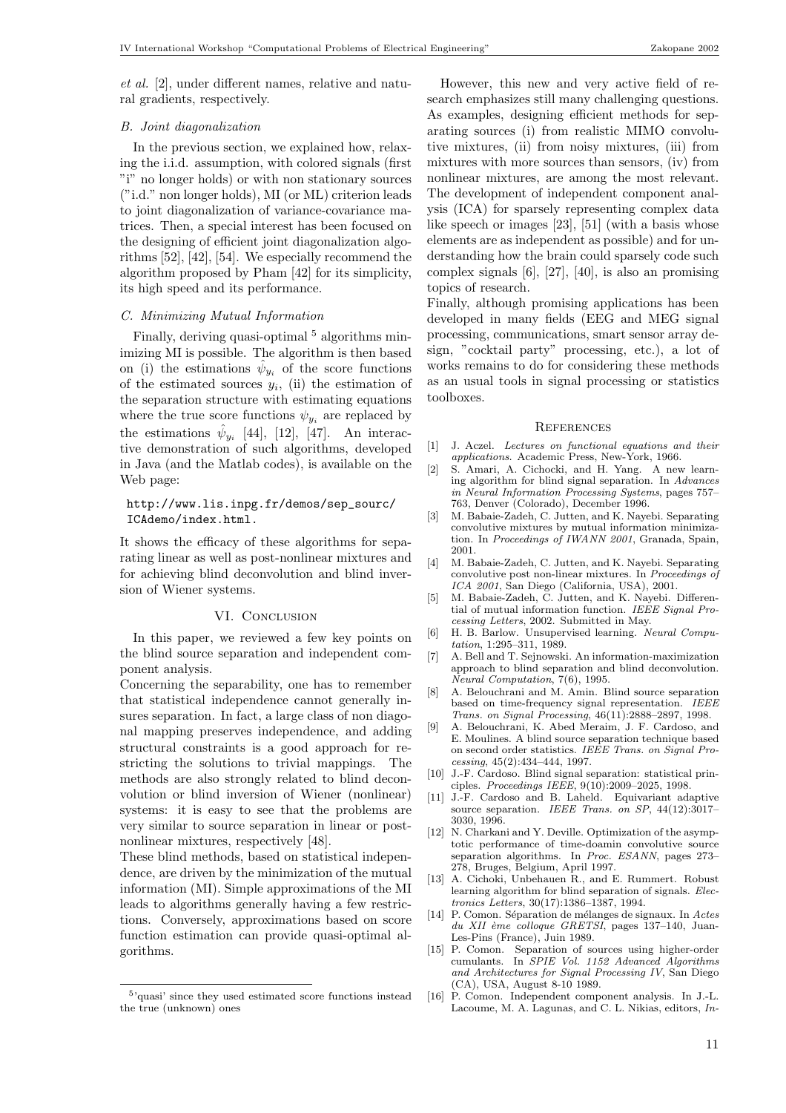et al. [2], under different names, relative and natural gradients, respectively.

# B. Joint diagonalization

In the previous section, we explained how, relaxing the i.i.d. assumption, with colored signals (first "i" no longer holds) or with non stationary sources ("i.d." non longer holds), MI (or ML) criterion leads to joint diagonalization of variance-covariance matrices. Then, a special interest has been focused on the designing of efficient joint diagonalization algorithms [52], [42], [54]. We especially recommend the algorithm proposed by Pham [42] for its simplicity, its high speed and its performance.

# C. Minimizing Mutual Information

Finally, deriving quasi-optimal  $^5$  algorithms minimizing MI is possible. The algorithm is then based on (i) the estimations  $\hat{\psi}_{y_i}$  of the score functions of the estimated sources  $y_i$ , (ii) the estimation of the separation structure with estimating equations where the true score functions  $\psi_{y_i}$  are replaced by the estimations  $\hat{\psi}_{y_i}$  [44], [12], [47]. An interactive demonstration of such algorithms, developed in Java (and the Matlab codes), is available on the Web page:

## http://www.lis.inpg.fr/demos/sep\_sourc/ ICAdemo/index.html.

It shows the efficacy of these algorithms for separating linear as well as post-nonlinear mixtures and for achieving blind deconvolution and blind inversion of Wiener systems.

## VI. CONCLUSION

In this paper, we reviewed a few key points on the blind source separation and independent component analysis.

Concerning the separability, one has to remember that statistical independence cannot generally insures separation. In fact, a large class of non diagonal mapping preserves independence, and adding structural constraints is a good approach for restricting the solutions to trivial mappings. The methods are also strongly related to blind deconvolution or blind inversion of Wiener (nonlinear) systems: it is easy to see that the problems are very similar to source separation in linear or postnonlinear mixtures, respectively [48].

These blind methods, based on statistical independence, are driven by the minimization of the mutual information (MI). Simple approximations of the MI leads to algorithms generally having a few restrictions. Conversely, approximations based on score function estimation can provide quasi-optimal algorithms.

However, this new and very active field of research emphasizes still many challenging questions. As examples, designing efficient methods for separating sources (i) from realistic MIMO convolutive mixtures, (ii) from noisy mixtures, (iii) from mixtures with more sources than sensors, (iv) from nonlinear mixtures, are among the most relevant. The development of independent component analysis (ICA) for sparsely representing complex data like speech or images [23], [51] (with a basis whose elements are as independent as possible) and for understanding how the brain could sparsely code such complex signals [6], [27], [40], is also an promising topics of research.

Finally, although promising applications has been developed in many fields (EEG and MEG signal processing, communications, smart sensor array design, "cocktail party" processing, etc.), a lot of works remains to do for considering these methods as an usual tools in signal processing or statistics toolboxes.

## **REFERENCES**

- [1] J. Aczel. Lectures on functional equations and their applications. Academic Press, New-York, 1966.
- [2] S. Amari, A. Cichocki, and H. Yang. A new learning algorithm for blind signal separation. In Advances in Neural Information Processing Systems, pages 757– 763, Denver (Colorado), December 1996.
- [3] M. Babaie-Zadeh, C. Jutten, and K. Nayebi. Separating convolutive mixtures by mutual information minimization. In Proceedings of IWANN 2001, Granada, Spain, 2001.
- [4] M. Babaie-Zadeh, C. Jutten, and K. Nayebi. Separating convolutive post non-linear mixtures. In Proceedings of ICA 2001, San Diego (California, USA), 2001.
- [5] M. Babaie-Zadeh, C. Jutten, and K. Nayebi. Differential of mutual information function. IEEE Signal Processing Letters, 2002. Submitted in May.
- [6] H. B. Barlow. Unsupervised learning. Neural Computation, 1:295–311, 1989.
- [7] A. Bell and T. Sejnowski. An information-maximization approach to blind separation and blind deconvolution. Neural Computation, 7(6), 1995.
- [8] A. Belouchrani and M. Amin. Blind source separation based on time-frequency signal representation. IEEE Trans. on Signal Processing, 46(11):2888-2897, 1998.
- [9] A. Belouchrani, K. Abed Meraim, J. F. Cardoso, and E. Moulines. A blind source separation technique based on second order statistics. IEEE Trans. on Signal Processing, 45(2):434–444, 1997.
- [10] J.-F. Cardoso. Blind signal separation: statistical principles. Proceedings IEEE, 9(10):2009–2025, 1998.
- [11] J.-F. Cardoso and B. Laheld. Equivariant adaptive source separation. IEEE Trans. on SP, 44(12):3017-3030, 1996.
- [12] N. Charkani and Y. Deville. Optimization of the asymptotic performance of time-doamin convolutive source separation algorithms. In Proc. ESANN, pages 273– 278, Bruges, Belgium, April 1997.
- [13] A. Cichoki, Unbehauen R., and E. Rummert. Robust learning algorithm for blind separation of signals. Electronics Letters, 30(17):1386–1387, 1994.
- [14] P. Comon. Séparation de mélanges de signaux. In Actes du XII ème colloque GRETSI, pages 137-140, Juan-Les-Pins (France), Juin 1989.
- [15] P. Comon. Separation of sources using higher-order cumulants. In SPIE Vol. 1152 Advanced Algorithms and Architectures for Signal Processing IV, San Diego (CA), USA, August 8-10 1989.
- [16] P. Comon. Independent component analysis. In J.-L. Lacoume, M. A. Lagunas, and C. L. Nikias, editors, In-

<sup>5</sup> 'quasi' since they used estimated score functions instead the true (unknown) ones